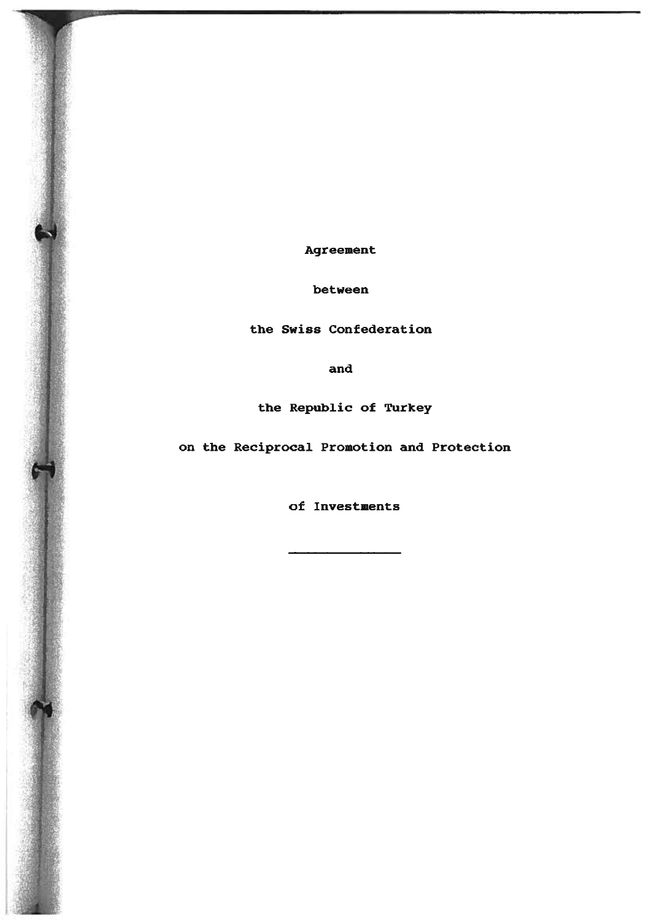Agreement

between

the Swiss Confederation

and

the Repub1ic of Turkey

on the Reciproca1 Promotion and Protection

of Investments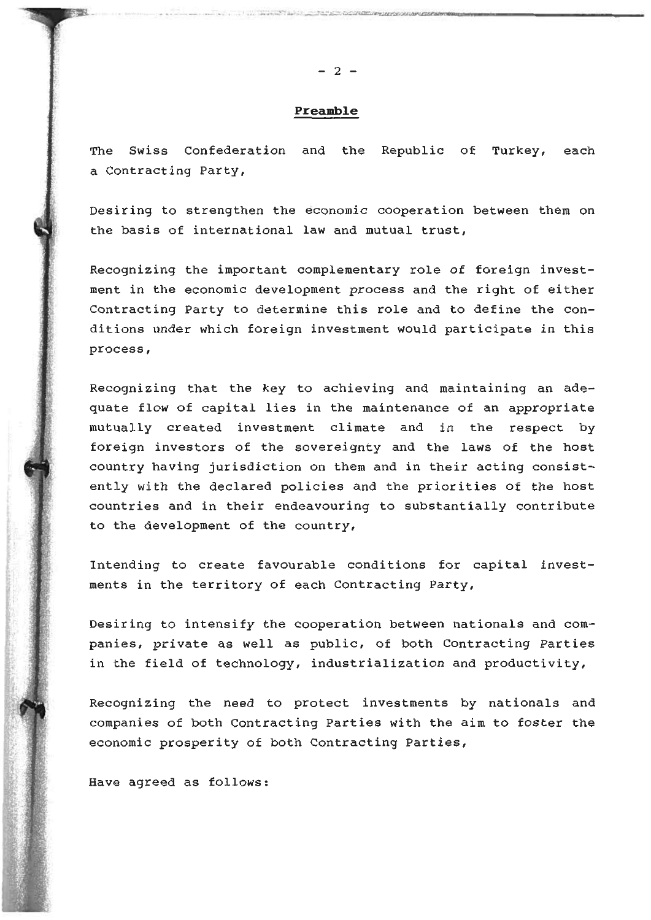$-2 -$ 

Ui. ;,;,..-:. ... :~~~-·,,·,) ..,,..\_......~~-~~~...!t.1-~m-WMm -· -------------

#### **Preamble**

The Swiss Confederation and the Republic of Turkey, each a Contracting Party,

Desiring to strengthen the economic cooperation between them on the basis of international law and mutual trust,

Recognizing the important complementary role of foreign investment in the economic development process and the right of either Contracting Party to determine this role and to define the conditions under which foreign investment would participate in this process,

Recognizing that the key to achieving and maintaining an adequate flow of capital lies in the maintenance of an appropriate mutually created investment climate and in the respect by foreign investors of the sovereignty and the laws of the host country having jurisdiction on them and in their acting consistently with the declared policies and the priorities of the host countries and in their endeavouring to substantially contribute to the development of the country,

Intending to create favourable conditions for capital investments in the territory of each Contracting Party,

Desiring to intensify the cooperation between nationals and companies, private as well as public, of both Contracting Parties in the field of technology, industrialization and productivity,

Recognizing the need to protect investments by nationals and companies of both Contracting Parties with the aim to foster the economic prosperity of both Contracting Parties,

Have agreed as follows:

" *, I*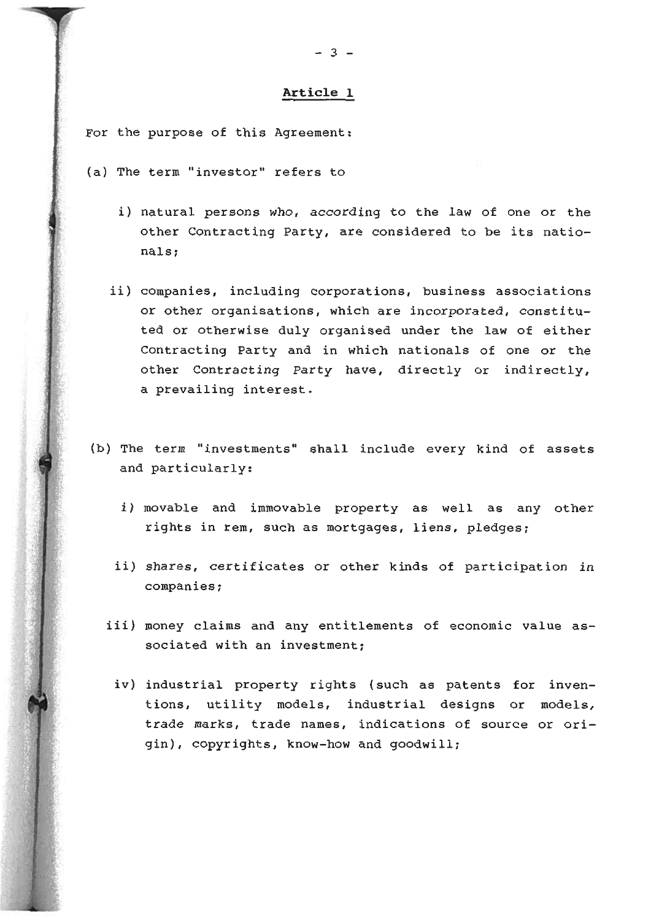For the purpose of this Agreement:

- (a) The term "investor" refers to
	- i) natural persons who, according to the law of one or the other Contracting Party, are considered to be its nationals:
	- ii) companies, including corporations, business associations or other organisations, which are incorporated, constituted or otherwise duly organised under the law of either Contracting Party and in which nationals of one or the other Contracting Party have, directly or indirectly, a prevailing interest.
- (b) The term "investments" shall include every kind of assets and particularly:
	- i) movable and immovable property as well as any other rights in rem, such as mortgages, liens, pledges:
	- ii) shares, certificates or other kinds of participation in companies:
	- iii) money claims and any entitlements of economic value associated with an investment:
		- iv} industrial property rights (such as patents for inventions, utility models, industrial designs or models, trade marks, trade names, indications of source or origin), copyrights, know-how and goodwill: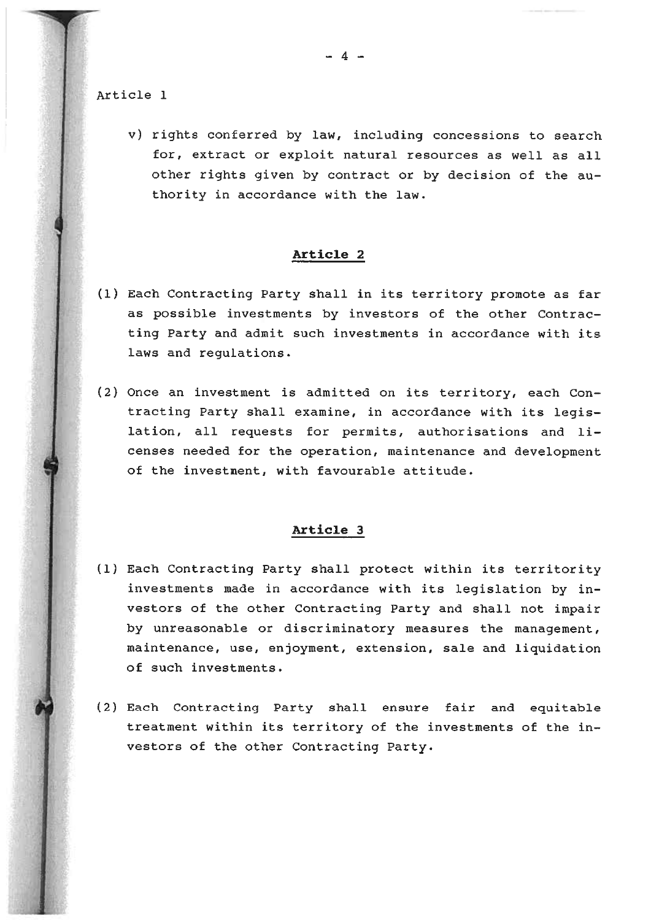v) rights conferred by law, including concessions to search for, extract or exploit natural resources as well as all other rights given by contract or by decision of the authority in accordance with the law.

### **Article 2**

- (1) Each Contracting Party shall in its territory promote as far as possible investments by investors of the other Contracting Party and admit such investments in accordance with its laws and regulations.
- (2) Once an investment is admitted on its territory, each Contracting Party shall examine, in accordance with its legislation, all requests for permits, authorisations and licenses needed for the operation, maintenance and development of the investment, with favourable attitude.

#### **Article 3**

- (1) Each Contracting Party shall protect within its territority investments made in accordance with its legislation by investors of the other Contracting Party and shall not impair by unreasonable or discriminatory measures the management, maintenance, use, enjoyment, extension, sale and liquidation of such investments.
- (2) Each Contracting Party shall ensure fair and equitable treatment within its territory of the investments of the investors of the other Contracting Party.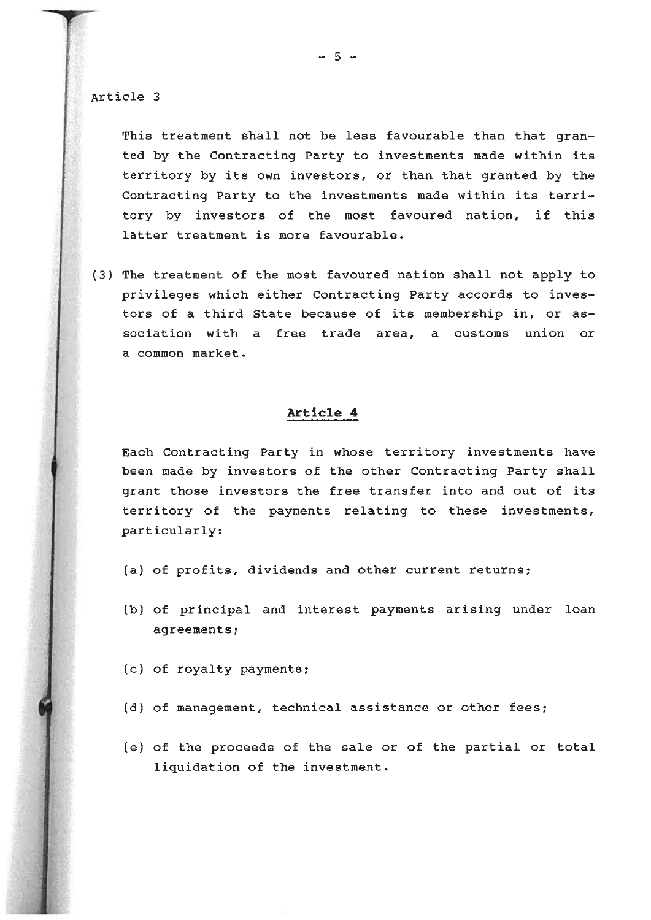This treatment shall not be less favourable than that granted by the Contracting Party to investments made within its territory by its own investors, or than that granted by the Contracting Party to the investments made within its territory by investors of the most favoured nation, if this latter treatment is more favourable.

(3) The treatment of the most favoured nation shall not apply to privileges which either Contracting Party accords to investors of a third State because of its membership in, or association with a free trade area, a customs union or a common market.

### **Artic1e 4**

Each Contracting Party in whose territory investments have been made by investors of the other Contracting Party shall grant those investors the free transfer into and out of its territory of the payments relating to these investments, particularly:

- (a) of profits, dividends and other current returns;
- (b) of principal and interest payments arising under loan agreements;
- $(c)$  of royalty payments;
- (d) of management, technical assistance or other fees;
- (e) of the proceeds of the sale or of the partial or total liquidation of the investment.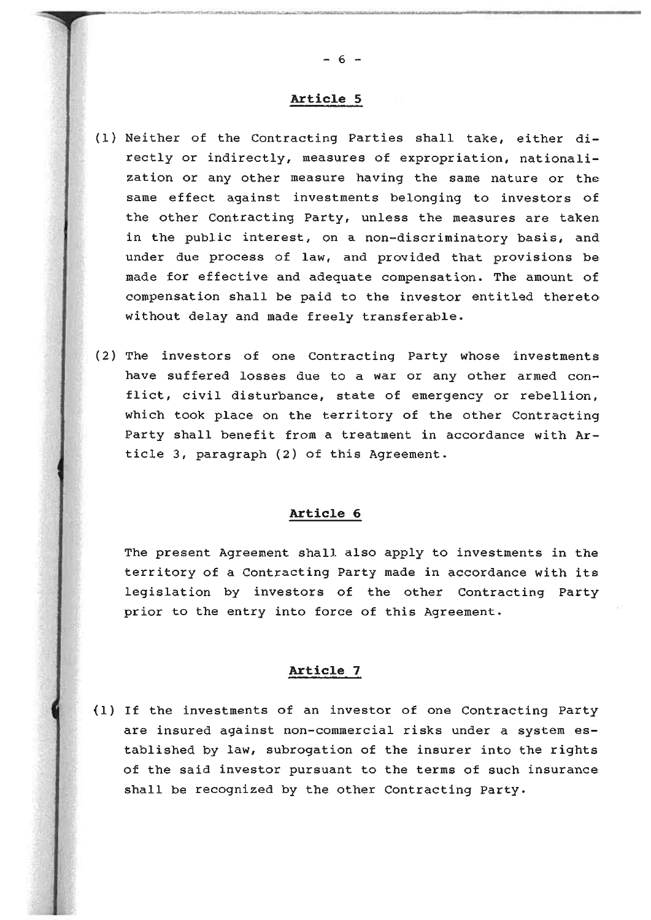## **Artic1e 5**

 $- 6 -$ 

- (1) Neither of the Contracting Parties shall take, either directly or indirectly, measures of expropriation, nationalization or any other measure having the same nature or the same effect against investments belonging to investors of the other Contracting Party, unless the measures are taken in the public interest, on a non-discriminatory basis, and under due process of law, and provided that provisions be made for effective and adequate compensation. The amount of compensation shall be paid to the investor entitled thereto without delay and made freely transferable.
- ( 2) The investors of one Contracting Party whose investments have suffered losses due to a war or any other armed conflict, civil disturbance, state of emergency or rebellion, which took place on the territory of the other Contracting Party shall benefit from a treatment in accordance with Article 3, paragraph (2) of this Agreement.

## **Article 6**

The present Agreement shall also apply to investments in the territory of a Contracting Party made in accordance with its legislation by investors of the other Contracting Party prior to the entry into force of this Agreement.

## **Artic1e 7**

**(1)** If the investments of an investor of one Contracting Party are insured against non-commercial risks under a system established by law, subrogation of the insurer into the rights of the said investor pursuant to the terms of such insurance shall be recognized by the other Contracting Party.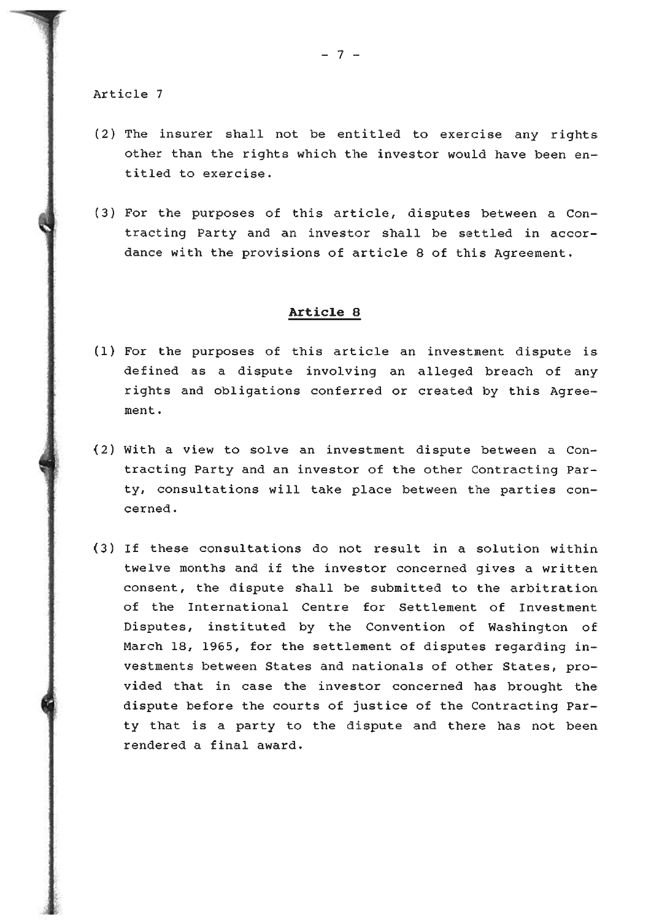$\mathbf{r}$ '1.

- ( 2) The insurer shall not be entitled to exercise any rights other than the rights which the investor would have been entitled to exercise.
- (3) For the purposes of this article, disputes between a Contracting Party and an investor shall be settled in accordance with the provisions of article 8 of this Agreement.

### **Article 8**

- (1) For the purposes of this article an investment dispute is defined as a dispute involving an alleged breach of any rights and obligations conferred or created by this Agreement.
- tracting Party and an investor of the other Contracting Party, consultations will take place between the parties concerned. (2) With a view to solve an investment dispute between a Con-
- (3) If these consultations do not result in a solution within twelve months and if the investor concerned gives a written consent, the dispute shall be submitted to the arbitration of the International Centre for Settlement of Investment Disputes, instituted by the Convention of Washington of March 18, 1965, for the settlement of disputes regarding investments between States and nationals of other States, provided that in case the investor concerned has brought the dispute before the courts of justice of the Contracting Party that is a party to the dispute and there has not been rendered a final award.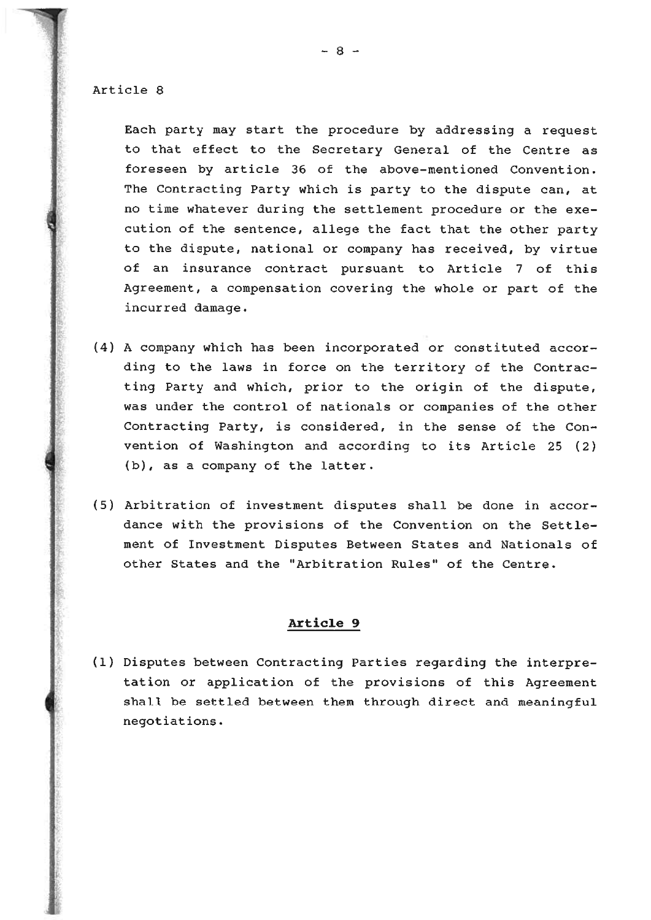f ï.

Each party may start the procedure by addressing a request to that ef feet to the Secretary General of the Centre as foreseen by article 36 of the above-mentioned Convention. The Contracting Party which is party to the dispute can, at no time whatever during the settlement procedure or the execution of the sentence, allege the fact that the other party to the dispute, national or company has received, by virtue of an insurance contract pursuant to Article 7 of this Agreement, a compensation covering the whole or part of the incurred damage.

- (4) A company which has been incorporated or constituted according to the laws in force on the territory of the Contracting Party and which, prior to the origin of the dispute, was under the control of nationals or companies of the other Contracting Party, is considered, in the sense of the Convention of Washington and according to its Article 25 (2) (b), as a company of the latter.
- (5) Arbitration of investment disputes shall be done in accordance with the provisions of the Convention on the Settlement of Investment Disputes Between States and Nationals of other States and the "Arbitration Rules" of the Centre.

## **Artic1e 9**

(1) Disputes between Contracting Parties regarding the interpretation or application of the provisions of this Agreement shall be settled between them through direct and meaningful negotiations.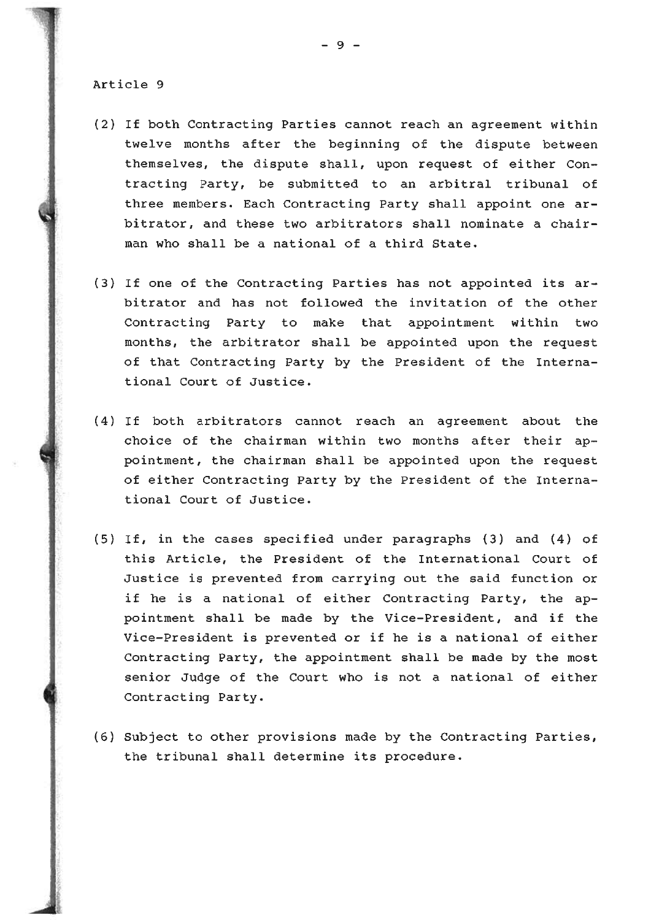J I> •· *r.* 

 $\mathbf{u}$ ,  $\mathbf{v}$ 

' !

- (2) If both Contracting Parties cannot reach an agreement within twelve months after the beginning of the dispute between themselves, the dispute shall, upon request of either Contracting Party, be submitted to an arbitral tribunal of three members. Each Contracting Party shall appoint one arbitrator, and these two arbitrators shall nominate a chairman who shall be a national of a third State.
- (3) If one of the Contracting Parties has not appointed its arbitrator and has not followed the invitation of the other Contracting Party to make that appointment within two months, the arbitrator shall be appointed upon the request of that Contracting Party by the President of the International Court of Justice.
- (4) If both arbitrators cannot reach an agreement about the choice of the chairman within two months after their appointment, the chairman shall be appointed upon the request of either Contracting Party by the President of the International Court of Justice.
- (5) If, in the cases specified under paragraphs (3) and (4) of this Article, the President of the International Court of Justice is prevented from carrying out the said function or if he is a national of either Contracting Party, the appointment shall be made by the Vice-President, and if the Vice-President is prevented or if he is a national of either Contracting Party, the appointment shall be made by the most senior Judge of the Court who is not a national of either Contracting Party.
- (6) Subject to other provisions made by the Contracting Parties, the tribunal shall determine its procedure.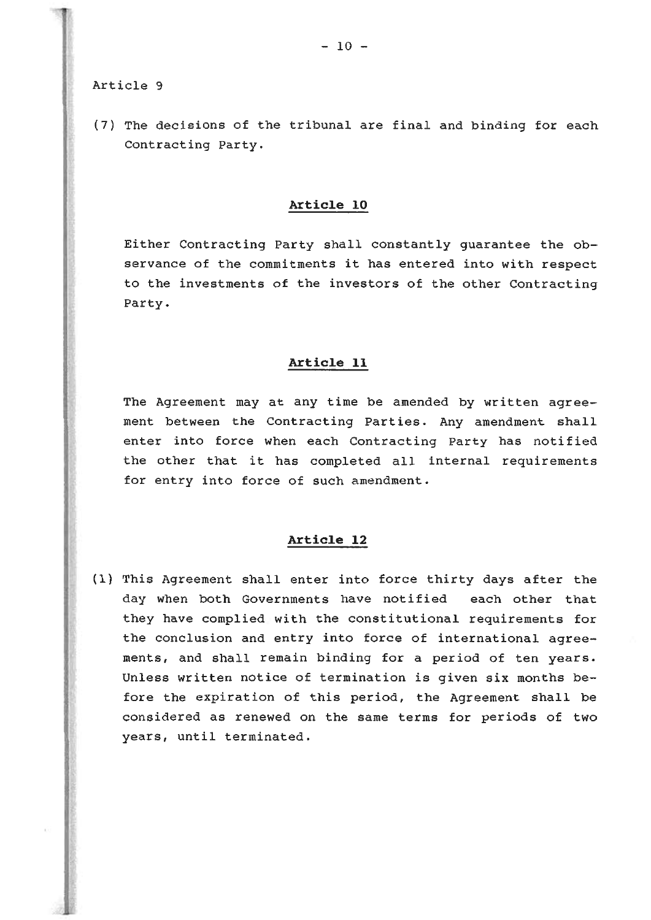(7) The decisions of the tribunal are final and binding for each Contracting Party.

## **Article 10**

Either Contracting Party shall constantly guarantee the observance of the commitments it has entered into with respect to the investments of the investors of the other Contracting Party.

# **Article 11**

The Agreement may at any time be amended by written agreement between the Contracting Parties. Any amendment shall enter into force when each Contracting Party has notified the other that it has completed all internal requirements for entry into force of such amendment.

# **Article 12**

(1) This Agreement shall enter into force thirty days after the day when both Governments have notified each other that they have complied with the constitutional requirements for the conclusion and entry into force of international agreements, and shall remain binding for a period of ten years. Unless written notice of termination is given six months before the expiration of this period, the Agreement shall be considered as renewed on the same terms for periods of two years, until terminated.